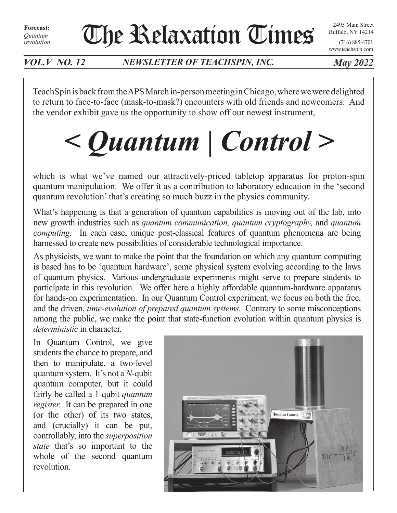**Forecast:** *Quantum revolution* The Relaxation Times

2495 Main Street Buffalo, NY 14214

(716) 885-4701 www.teachspin.com

*VOL.V NO. 12 NEWSLETTER OF TEACHSPIN, INC. May 2022*

TeachSpin is back from the APS March in-person meeting in Chicago, where we were delighted to return to face-to-face (mask-to-mask?) encounters with old friends and newcomers. And the vendor exhibit gave us the opportunity to show off our newest instrument,

# *< Quantum | Control >*

which is what we've named our attractively-priced tabletop apparatus for proton-spin quantum manipulation. We offer it as a contribution to laboratory education in the 'second quantum revolution' that's creating so much buzz in the physics community.

What's happening is that a generation of quantum capabilities is moving out of the lab, into new growth industries such as *quantum communication, quantum cryptography,* and *quantum computing.* In each case, unique post-classical features of quantum phenomena are being harnessed to create new possibilities of considerable technological importance.

As physicists, we want to make the point that the foundation on which any quantum computing is based has to be 'quantum hardware', some physical system evolving according to the laws of quantum physics. Various undergraduate experiments might serve to prepare students to participate in this revolution. We offer here a highly affordable quantum-hardware apparatus for hands-on experimentation. In our Quantum Control experiment, we focus on both the free, and the driven, *time-evolution of prepared quantum systems.* Contrary to some misconceptions among the public, we make the point that state-function evolution within quantum physics is *deterministic* in character.

In Quantum Control, we give students the chance to prepare, and then to manipulate, a two-level quantum system. It's not a *N*-qubit quantum computer, but it could fairly be called a 1-qubit *quantum register.* It can be prepared in one (or the other) of its two states, and (crucially) it can be put, controllably, into the *superposition state* that's so important to the whole of the second quantum revolution.

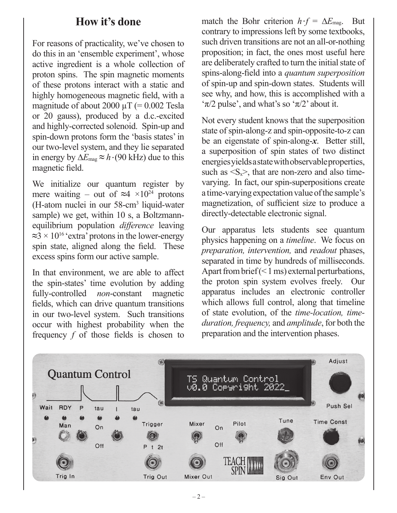### **How it's done**

For reasons of practicality, we've chosen to do this in an 'ensemble experiment', whose active ingredient is a whole collection of proton spins. The spin magnetic moments of these protons interact with a static and highly homogeneous magnetic field, with a magnitude of about 2000  $\mu$ T (= 0.002 Tesla or 20 gauss), produced by a d.c.-excited and highly-corrected solenoid. Spin-up and spin-down protons form the 'basis states' in our two-level system, and they lie separated in energy by ∆*E*mag **≈** *h •* (90 kHz) due to this magnetic field.

We initialize our quantum register by mere waiting – out of  $\approx$ 4 ×10<sup>24</sup> protons (H-atom nuclei in our 58-cm3 liquid-water sample) we get, within 10 s, a Boltzmannequilibrium population *difference* leaving **≈**3 × 1016 'extra' protons in the lower-energy spin state, aligned along the field. These excess spins form our active sample.

In that environment, we are able to affect the spin-states' time evolution by adding fully-controlled *non*-constant magnetic fields, which can drive quantum transitions in our two-level system. Such transitions occur with highest probability when the frequency *f* of those fields is chosen to

match the Bohr criterion  $h \cdot f = \Delta E_{\text{mag}}$ . But contrary to impressions left by some textbooks, such driven transitions are not an all-or-nothing proposition; in fact, the ones most useful here are deliberately crafted to turn the initial state of spins-along-field into a *quantum superposition* of spin-up and spin-down states. Students will see why, and how, this is accomplished with a ' $\pi/2$  pulse', and what's so ' $\pi/2$ ' about it.

Not every student knows that the superposition state of spin-along-z and spin-opposite-to-z can be an eigenstate of spin-along-*x*. Better still, a superposition of spin states of two distinct energies yields a state with observable properties, such as  $\langle S_x \rangle$ , that are non-zero and also timevarying. In fact, our spin-superpositions create a time-varying expectation value of the sample's magnetization, of sufficient size to produce a directly-detectable electronic signal.

Our apparatus lets students see quantum physics happening on a *timeline*. We focus on *preparation, intervention,* and *readout* phases, separated in time by hundreds of milliseconds. Apart from brief (< 1 ms) external perturbations, the proton spin system evolves freely. Our apparatus includes an electronic controller which allows full control, along that timeline of state evolution, of the *time-location, timeduration, frequency,* and *amplitude*, for both the preparation and the intervention phases.

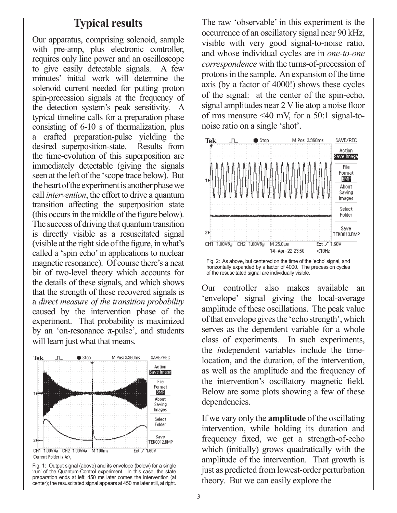#### **Typical results**

Our apparatus, comprising solenoid, sample with pre-amp, plus electronic controller. requires only line power and an oscilloscope to give easily detectable signals. A few minutes' initial work will determine the solenoid current needed for putting proton spin-precession signals at the frequency of the detection system's peak sensitivity. A typical timeline calls for a preparation phase consisting of 6-10 s of thermalization, plus a crafted preparation-pulse yielding the desired superposition-state. Results from the time-evolution of this superposition are immediately detectable (giving the signals seen at the left of the 'scope trace below). But the heart of the experiment is another phase we call *intervention*, the effort to drive a quantum transition affecting the superposition state (this occurs in the middle of the figure below). The success of driving that quantum transition is directly visible as a resuscitated signal (visible at the right side of the figure, in what's called a 'spin echo' in applications to nuclear magnetic resonance). Of course there's a neat bit of two-level theory which accounts for the details of these signals, and which shows that the strength of these recovered signals is a *direct measure of the transition probability* caused by the intervention phase of the experiment. That probability is maximized by an 'on-resonance  $π$ -pulse', and students will learn just what that means.



Fig. 1: Output signal (above) and its envelope (below) for a single 'run' of the Quantum-Control experiment. In this case, the state preparation ends at left; 450 ms later comes the intervention (at center); the resuscitated signal appears at 450 ms later still, at right.

The raw 'observable' in this experiment is the occurrence of an oscillatory signal near 90 kHz, visible with very good signal-to-noise ratio, and whose individual cycles are in *one-to-one correspondence* with the turns-of-precession of protons in the sample. An expansion of the time axis (by a factor of 4000!) shows these cycles of the signal: at the center of the spin-echo, signal amplitudes near 2 V lie atop a noise floor of rms measure <40 mV, for a 50:1 signal-tonoise ratio on a single 'shot'.





Our controller also makes available an 'envelope' signal giving the local-average amplitude of these oscillations. The peak value of that envelope gives the 'echo strength', which serves as the dependent variable for a whole class of experiments. In such experiments, the *in*dependent variables include the timelocation, and the duration, of the intervention, as well as the amplitude and the frequency of the intervention's oscillatory magnetic field. Below are some plots showing a few of these dependencies.

If we vary only the **amplitude** of the oscillating intervention, while holding its duration and frequency fixed, we get a strength-of-echo which (initially) grows quadratically with the amplitude of the intervention. That growth is just as predicted from lowest-order perturbation theory. But we can easily explore the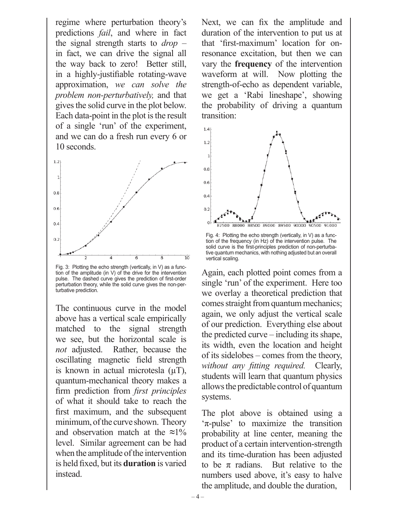regime where perturbation theory's predictions *fail*, and where in fact the signal strength starts to *drop* – in fact, we can drive the signal all the way back to zero! Better still, in a highly-justifiable rotating-wave approximation, *we can solve the problem non-perturbatively,* and that gives the solid curve in the plot below. Each data-point in the plot is the result of a single 'run' of the experiment, and we can do a fresh run every 6 or 10 seconds.



Fig. 3: Plotting the echo strength (vertically, in V) as a function of the amplitude (in V) of the drive for the intervention pulse. The dashed curve gives the prediction of first-order perturbation theory, while the solid curve gives the non-perturbative prediction.

The continuous curve in the model above has a vertical scale empirically matched to the signal strength we see, but the horizontal scale is *not* adjusted. Rather, because the oscillating magnetic field strength is known in actual microtesla  $(\mu T)$ , quantum-mechanical theory makes a firm prediction from *first principles*  of what it should take to reach the first maximum, and the subsequent minimum, of the curve shown. Theory and observation match at the **≈**1% level. Similar agreement can be had when the amplitude of the intervention is held fixed, but its **duration** is varied instead.

Next, we can fix the amplitude and duration of the intervention to put us at that 'first-maximum' location for onresonance excitation, but then we can vary the **frequency** of the intervention waveform at will. Now plotting the strength-of-echo as dependent variable, we get a 'Rabi lineshape', showing the probability of driving a quantum transition:



Fig. 4: Plotting the echo strength (vertically, in V) as a function of the frequency (in Hz) of the intervention pulse. The solid curve is the first-principles prediction of non-perturbative quantum mechanics, with nothing adjusted but an overall vertical scaling.

Again, each plotted point comes from a single 'run' of the experiment. Here too we overlay a theoretical prediction that comes straight from quantum mechanics; again, we only adjust the vertical scale of our prediction. Everything else about the predicted curve – including its shape, its width, even the location and height of its sidelobes – comes from the theory, *without any fitting required.* Clearly, students will learn that quantum physics allows the predictable control of quantum systems.

The plot above is obtained using a 'π-pulse' to maximize the transition probability at line center, meaning the product of a certain intervention-strength and its time-duration has been adjusted to be  $\pi$  radians. But relative to the numbers used above, it's easy to halve the amplitude, and double the duration,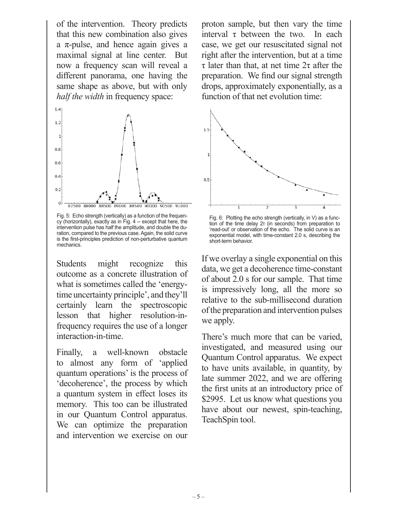of the intervention. Theory predicts that this new combination also gives a π-pulse, and hence again gives a maximal signal at line center. But now a frequency scan will reveal a different panorama, one having the same shape as above, but with only *half the width* in frequency space:



Fig. 5: Echo strength (vertically) as a function of the frequency (horizontally), exactly as in Fig. 4 -- except that here, the intervention pulse has half the amplitude, and double the duration, compared to the previous case. Again, the solid curve is the first-principles prediction of non-perturbative quantum mechanics.

Students might recognize this outcome as a concrete illustration of what is sometimes called the 'energytime uncertainty principle', and they'll certainly learn the spectroscopic lesson that higher resolution-infrequency requires the use of a longer interaction-in-time.

Finally, a well-known obstacle to almost any form of 'applied quantum operations' is the process of 'decoherence', the process by which a quantum system in effect loses its memory. This too can be illustrated in our Quantum Control apparatus. We can optimize the preparation and intervention we exercise on our

proton sample, but then vary the time interval  $\tau$  between the two. In each case, we get our resuscitated signal not right after the intervention, but at a time τ later than that, at net time 2τ after the preparation. We find our signal strength drops, approximately exponentially, as a function of that net evolution time:



Fig. 6: Plotting the echo strength (vertically, in V) as a function of the time delay 2τ (in seconds) from preparation to 'read-out' or observation of the echo. The solid curve is an exponential model, with time-constant 2.0 s, describing the short-term behavior.

If we overlay a single exponential on this data, we get a decoherence time-constant of about 2.0 s for our sample. That time is impressively long, all the more so relative to the sub-millisecond duration of the preparation and intervention pulses we apply.

There's much more that can be varied, investigated, and measured using our Quantum Control apparatus. We expect to have units available, in quantity, by late summer 2022, and we are offering the first units at an introductory price of \$2995. Let us know what questions you have about our newest, spin-teaching, TeachSpin tool.